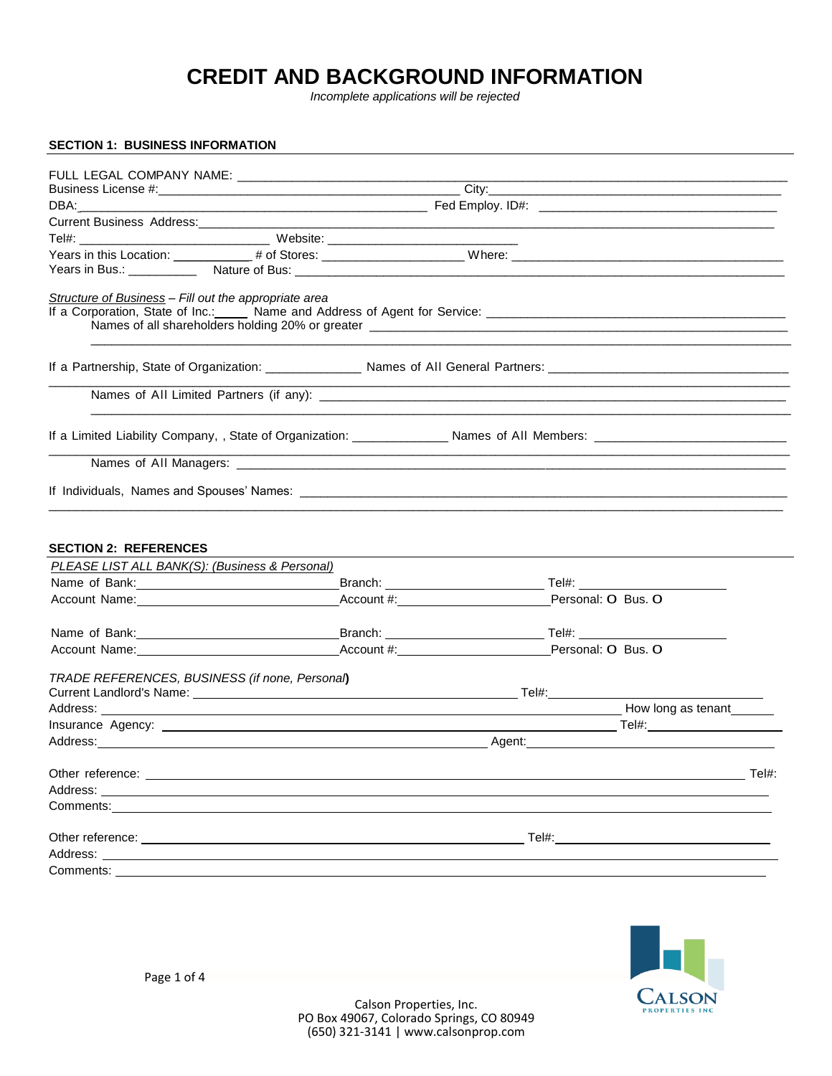# **CREDIT AND BACKGROUND INFORMATION**

*Incomplete applications will be rejected*

| <b>SECTION 1: BUSINESS INFORMATION</b>                                                                                                                                                                                               |  |        |  |                    |  |  |
|--------------------------------------------------------------------------------------------------------------------------------------------------------------------------------------------------------------------------------------|--|--------|--|--------------------|--|--|
|                                                                                                                                                                                                                                      |  |        |  |                    |  |  |
|                                                                                                                                                                                                                                      |  |        |  |                    |  |  |
|                                                                                                                                                                                                                                      |  |        |  |                    |  |  |
|                                                                                                                                                                                                                                      |  |        |  |                    |  |  |
|                                                                                                                                                                                                                                      |  |        |  |                    |  |  |
|                                                                                                                                                                                                                                      |  |        |  |                    |  |  |
|                                                                                                                                                                                                                                      |  |        |  |                    |  |  |
|                                                                                                                                                                                                                                      |  |        |  |                    |  |  |
| Structure of Business - Fill out the appropriate area                                                                                                                                                                                |  |        |  |                    |  |  |
|                                                                                                                                                                                                                                      |  |        |  |                    |  |  |
|                                                                                                                                                                                                                                      |  |        |  |                    |  |  |
|                                                                                                                                                                                                                                      |  |        |  |                    |  |  |
|                                                                                                                                                                                                                                      |  |        |  |                    |  |  |
|                                                                                                                                                                                                                                      |  |        |  |                    |  |  |
|                                                                                                                                                                                                                                      |  |        |  |                    |  |  |
|                                                                                                                                                                                                                                      |  |        |  |                    |  |  |
|                                                                                                                                                                                                                                      |  |        |  |                    |  |  |
|                                                                                                                                                                                                                                      |  |        |  |                    |  |  |
|                                                                                                                                                                                                                                      |  |        |  |                    |  |  |
|                                                                                                                                                                                                                                      |  |        |  |                    |  |  |
| <b>SECTION 2: REFERENCES</b>                                                                                                                                                                                                         |  |        |  |                    |  |  |
| PLEASE LIST ALL BANK(S): (Business & Personal)                                                                                                                                                                                       |  |        |  |                    |  |  |
|                                                                                                                                                                                                                                      |  |        |  |                    |  |  |
| Account Name: Mame: Manner Account #: Account #: Manner Account #: Manner Personal: O Bus. O                                                                                                                                         |  |        |  |                    |  |  |
|                                                                                                                                                                                                                                      |  |        |  |                    |  |  |
|                                                                                                                                                                                                                                      |  |        |  |                    |  |  |
| Account Name: Manner Account #: Account #: Account #: Personal: O Bus. O                                                                                                                                                             |  |        |  |                    |  |  |
|                                                                                                                                                                                                                                      |  |        |  |                    |  |  |
| TRADE REFERENCES, BUSINESS (if none, Personal)                                                                                                                                                                                       |  |        |  |                    |  |  |
|                                                                                                                                                                                                                                      |  |        |  |                    |  |  |
| Address: Note and the contract of the contract of the contract of the contract of the contract of the contract of the contract of the contract of the contract of the contract of the contract of the contract of the contract       |  |        |  | How long as tenant |  |  |
|                                                                                                                                                                                                                                      |  |        |  |                    |  |  |
|                                                                                                                                                                                                                                      |  | Agent: |  |                    |  |  |
|                                                                                                                                                                                                                                      |  |        |  | Tel#:              |  |  |
|                                                                                                                                                                                                                                      |  |        |  |                    |  |  |
| Comments: <u>Comments: Comments: Comments: Comments: Comments: Comments: Comments: Comments: Comments: Comments: Comments: Comments: Comments: Comments: Comments: Comments: Comments: Comments: Comments: Comments: Comments: C</u> |  |        |  |                    |  |  |
|                                                                                                                                                                                                                                      |  | Tel#:  |  |                    |  |  |
|                                                                                                                                                                                                                                      |  |        |  |                    |  |  |
| Comments: ______                                                                                                                                                                                                                     |  |        |  |                    |  |  |
|                                                                                                                                                                                                                                      |  |        |  |                    |  |  |

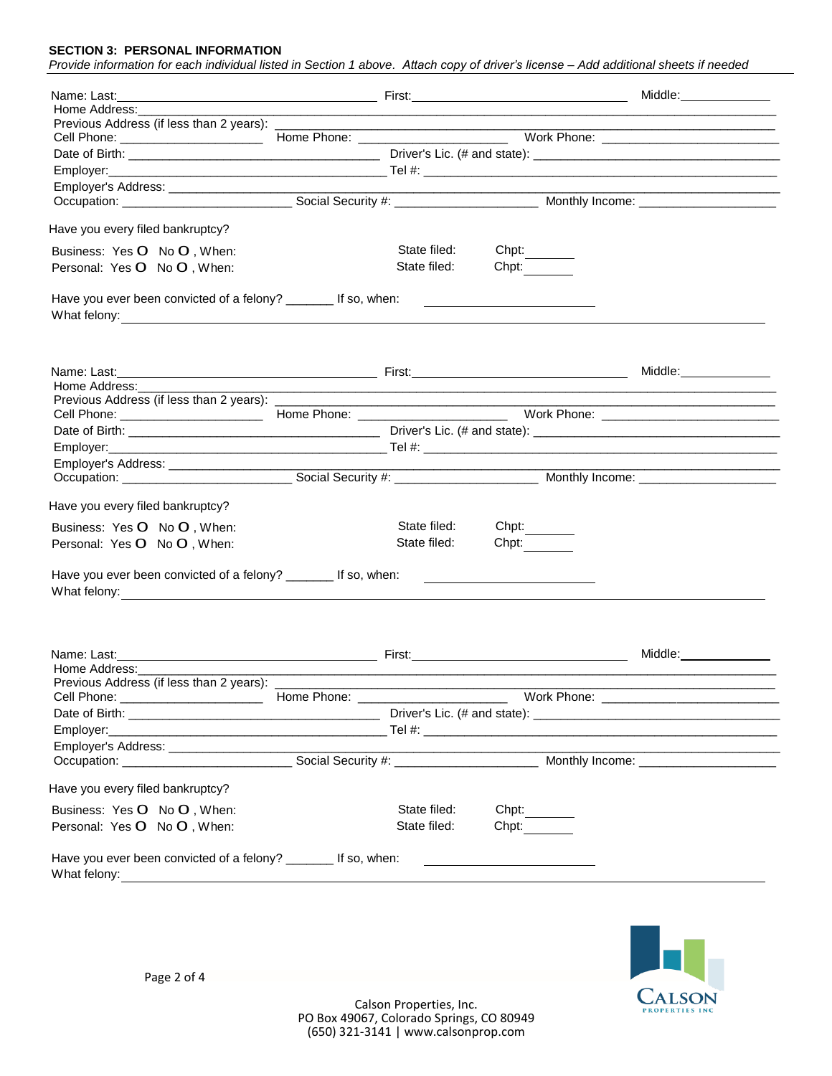#### **SECTION 3: PERSONAL INFORMATION**

|                                                                                                                                                                                                                                                                                                         |  |                                                                                                                      |                                                                                                                                                                                                                                      | Middle:______________ |
|---------------------------------------------------------------------------------------------------------------------------------------------------------------------------------------------------------------------------------------------------------------------------------------------------------|--|----------------------------------------------------------------------------------------------------------------------|--------------------------------------------------------------------------------------------------------------------------------------------------------------------------------------------------------------------------------------|-----------------------|
| Home Address:                                                                                                                                                                                                                                                                                           |  |                                                                                                                      | ,我们也不能在这里的时候,我们也不能在这里的时候,我们也不能会在这里的时候,我们也不能会在这里的时候,我们也不能会在这里的时候,我们也不能会在这里的时候,我们也                                                                                                                                                     |                       |
|                                                                                                                                                                                                                                                                                                         |  |                                                                                                                      |                                                                                                                                                                                                                                      |                       |
|                                                                                                                                                                                                                                                                                                         |  |                                                                                                                      |                                                                                                                                                                                                                                      |                       |
|                                                                                                                                                                                                                                                                                                         |  |                                                                                                                      |                                                                                                                                                                                                                                      |                       |
|                                                                                                                                                                                                                                                                                                         |  |                                                                                                                      |                                                                                                                                                                                                                                      |                       |
|                                                                                                                                                                                                                                                                                                         |  |                                                                                                                      |                                                                                                                                                                                                                                      |                       |
|                                                                                                                                                                                                                                                                                                         |  |                                                                                                                      |                                                                                                                                                                                                                                      |                       |
|                                                                                                                                                                                                                                                                                                         |  |                                                                                                                      |                                                                                                                                                                                                                                      |                       |
| Have you every filed bankruptcy?                                                                                                                                                                                                                                                                        |  |                                                                                                                      |                                                                                                                                                                                                                                      |                       |
| Business: Yes O No O, When:                                                                                                                                                                                                                                                                             |  | State filed:                                                                                                         | Chpt:                                                                                                                                                                                                                                |                       |
| Personal: Yes O No O, When:                                                                                                                                                                                                                                                                             |  | State filed:                                                                                                         | Chpt:                                                                                                                                                                                                                                |                       |
| Have you ever been convicted of a felony? _______ If so, when:                                                                                                                                                                                                                                          |  |                                                                                                                      | <u> 1999 - John Harry Harry Harry Harry Harry Harry Harry Harry Harry Harry Harry Harry Harry Harry Harry Harry Harry Harry Harry Harry Harry Harry Harry Harry Harry Harry Harry Harry Harry Harry Harry Harry Harry Harry Harr</u> |                       |
|                                                                                                                                                                                                                                                                                                         |  |                                                                                                                      |                                                                                                                                                                                                                                      | Middle:______________ |
| Home Address:                                                                                                                                                                                                                                                                                           |  |                                                                                                                      |                                                                                                                                                                                                                                      |                       |
|                                                                                                                                                                                                                                                                                                         |  |                                                                                                                      |                                                                                                                                                                                                                                      |                       |
|                                                                                                                                                                                                                                                                                                         |  |                                                                                                                      |                                                                                                                                                                                                                                      |                       |
|                                                                                                                                                                                                                                                                                                         |  |                                                                                                                      |                                                                                                                                                                                                                                      |                       |
|                                                                                                                                                                                                                                                                                                         |  |                                                                                                                      |                                                                                                                                                                                                                                      |                       |
|                                                                                                                                                                                                                                                                                                         |  |                                                                                                                      |                                                                                                                                                                                                                                      |                       |
|                                                                                                                                                                                                                                                                                                         |  |                                                                                                                      |                                                                                                                                                                                                                                      |                       |
| Have you every filed bankruptcy?                                                                                                                                                                                                                                                                        |  |                                                                                                                      |                                                                                                                                                                                                                                      |                       |
| Business: Yes O No O, When:                                                                                                                                                                                                                                                                             |  | State filed:                                                                                                         | Chpt:                                                                                                                                                                                                                                |                       |
| Personal: Yes O No O, When:                                                                                                                                                                                                                                                                             |  | State filed:                                                                                                         | Chpt:                                                                                                                                                                                                                                |                       |
| Have you ever been convicted of a felony? ________ If so, when:<br>What felony: <u>with the contract of the contract of the contract of the contract of the contract of the contract of the contract of the contract of the contract of the contract of the contract of the contract of the contrac</u> |  |                                                                                                                      | <u> 1990 - Johann Barn, fransk politik (</u>                                                                                                                                                                                         |                       |
|                                                                                                                                                                                                                                                                                                         |  |                                                                                                                      |                                                                                                                                                                                                                                      |                       |
| Name: Last:<br>Home Address: Management Communication and Address:                                                                                                                                                                                                                                      |  |                                                                                                                      |                                                                                                                                                                                                                                      | Middle: <b>Middle</b> |
| Previous Address (if less than 2 years): _____                                                                                                                                                                                                                                                          |  |                                                                                                                      |                                                                                                                                                                                                                                      |                       |
| Cell Phone: _________________________                                                                                                                                                                                                                                                                   |  | <u> 1989 - Johann John Harry, mars eta bat eta bat eta bat eta bat eta bat eta bat eta bat eta bat eta bat eta b</u> |                                                                                                                                                                                                                                      |                       |
|                                                                                                                                                                                                                                                                                                         |  |                                                                                                                      |                                                                                                                                                                                                                                      |                       |
|                                                                                                                                                                                                                                                                                                         |  |                                                                                                                      |                                                                                                                                                                                                                                      |                       |
|                                                                                                                                                                                                                                                                                                         |  |                                                                                                                      |                                                                                                                                                                                                                                      |                       |
|                                                                                                                                                                                                                                                                                                         |  |                                                                                                                      |                                                                                                                                                                                                                                      |                       |
|                                                                                                                                                                                                                                                                                                         |  |                                                                                                                      |                                                                                                                                                                                                                                      |                       |
| Have you every filed bankruptcy?                                                                                                                                                                                                                                                                        |  |                                                                                                                      |                                                                                                                                                                                                                                      |                       |
| Business: Yes O No O, When:                                                                                                                                                                                                                                                                             |  | State filed:                                                                                                         | Chpt:                                                                                                                                                                                                                                |                       |
| Personal: Yes O No O, When:                                                                                                                                                                                                                                                                             |  | State filed:                                                                                                         | Chpt:                                                                                                                                                                                                                                |                       |
|                                                                                                                                                                                                                                                                                                         |  |                                                                                                                      |                                                                                                                                                                                                                                      |                       |
|                                                                                                                                                                                                                                                                                                         |  |                                                                                                                      |                                                                                                                                                                                                                                      |                       |
| Have you ever been convicted of a felony? ________ If so, when:                                                                                                                                                                                                                                         |  |                                                                                                                      |                                                                                                                                                                                                                                      |                       |

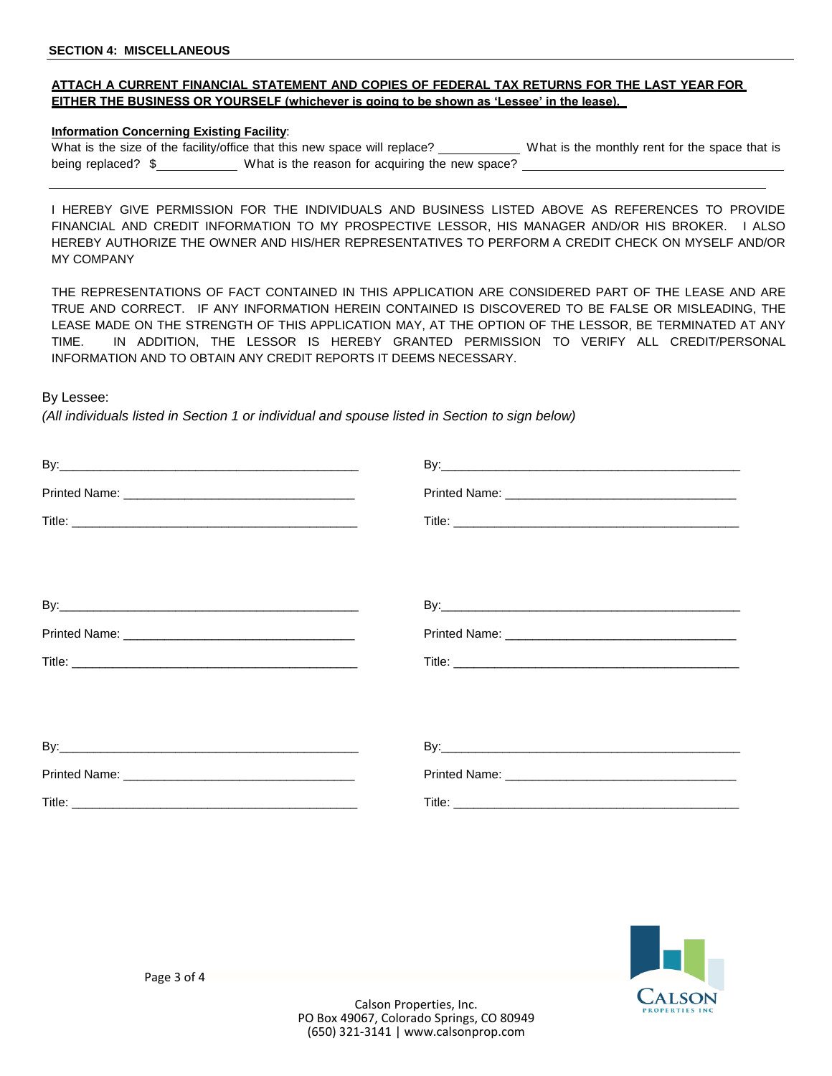## **ATTACH A CURRENT FINANCIAL STATEMENT AND COPIES OF FEDERAL TAX RETURNS FOR THE LAST YEAR FOR EITHER THE BUSINESS OR YOURSELF (whichever is going to be shown as 'Lessee' in the lease).**

### **Information Concerning Existing Facility**:

What is the size of the facility/office that this new space will replace? What is the monthly rent for the space that is being replaced? \$ What is the reason for acquiring the new space?

I HEREBY GIVE PERMISSION FOR THE INDIVIDUALS AND BUSINESS LISTED ABOVE AS REFERENCES TO PROVIDE FINANCIAL AND CREDIT INFORMATION TO MY PROSPECTIVE LESSOR, HIS MANAGER AND/OR HIS BROKER. I ALSO HEREBY AUTHORIZE THE OWNER AND HIS/HER REPRESENTATIVES TO PERFORM A CREDIT CHECK ON MYSELF AND/OR MY COMPANY

THE REPRESENTATIONS OF FACT CONTAINED IN THIS APPLICATION ARE CONSIDERED PART OF THE LEASE AND ARE TRUE AND CORRECT. IF ANY INFORMATION HEREIN CONTAINED IS DISCOVERED TO BE FALSE OR MISLEADING, THE LEASE MADE ON THE STRENGTH OF THIS APPLICATION MAY, AT THE OPTION OF THE LESSOR, BE TERMINATED AT ANY TIME. IN ADDITION, THE LESSOR IS HEREBY GRANTED PERMISSION TO VERIFY ALL CREDIT/PERSONAL INFORMATION AND TO OBTAIN ANY CREDIT REPORTS IT DEEMS NECESSARY.

By Lessee:

*(All individuals listed in Section 1 or individual and spouse listed in Section to sign below)*